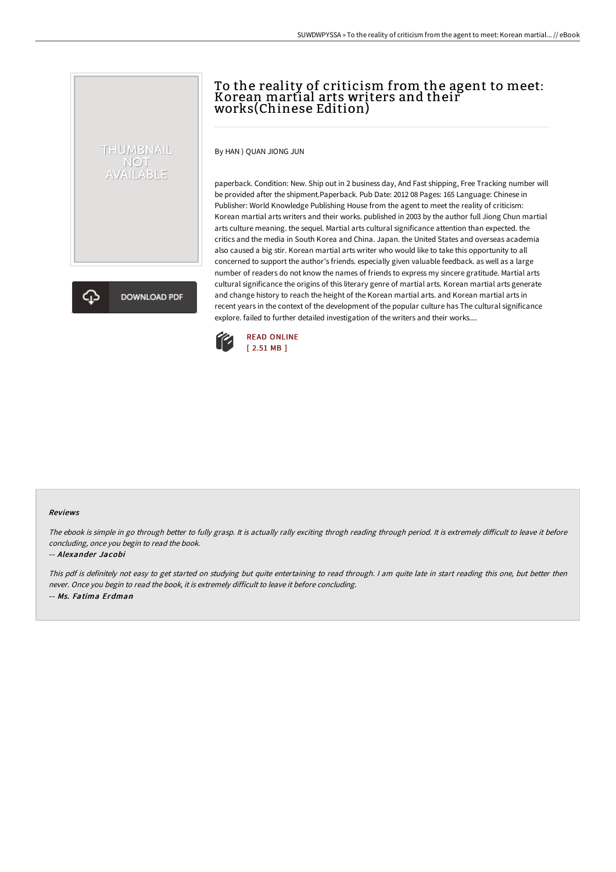## To the reality of criticism from the agent to meet: Korean martial arts writers and their works(Chinese Edition)

By HAN ) QUAN JIONG JUN

THUMBNAIL NOT<br>AVAILABLE

**DOWNLOAD PDF** 

paperback. Condition: New. Ship out in 2 business day, And Fast shipping, Free Tracking number will be provided after the shipment.Paperback. Pub Date: 2012 08 Pages: 165 Language: Chinese in Publisher: World Knowledge Publishing House from the agent to meet the reality of criticism: Korean martial arts writers and their works. published in 2003 by the author full Jiong Chun martial arts culture meaning. the sequel. Martial arts cultural significance attention than expected. the critics and the media in South Korea and China. Japan. the United States and overseas academia also caused a big stir. Korean martial arts writer who would like to take this opportunity to all concerned to support the author's friends. especially given valuable feedback. as well as a large number of readers do not know the names of friends to express my sincere gratitude. Martial arts cultural significance the origins of this literary genre of martial arts. Korean martial arts generate and change history to reach the height of the Korean martial arts. and Korean martial arts in recent years in the context of the development of the popular culture has The cultural significance explore. failed to further detailed investigation of the writers and their works....



#### Reviews

The ebook is simple in go through better to fully grasp. It is actually rally exciting throgh reading through period. It is extremely difficult to leave it before concluding, once you begin to read the book.

### -- Alexander Jacobi

This pdf is definitely not easy to get started on studying but quite entertaining to read through. <sup>I</sup> am quite late in start reading this one, but better then never. Once you begin to read the book, it is extremely difficult to leave it before concluding. -- Ms. Fatima Erdman